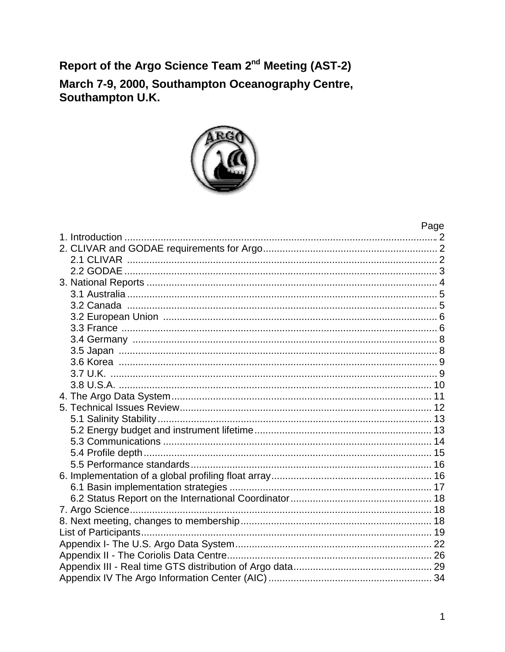Report of the Argo Science Team 2<sup>nd</sup> Meeting (AST-2)

March 7-9, 2000, Southampton Oceanography Centre,<br>Southampton U.K.



| Page |
|------|
|      |
|      |
|      |
|      |
|      |
|      |
|      |
|      |
|      |
|      |
|      |
|      |
|      |
|      |
|      |
|      |
|      |
|      |
|      |
|      |
|      |
|      |
|      |
|      |
|      |
|      |
|      |
|      |
|      |
|      |
|      |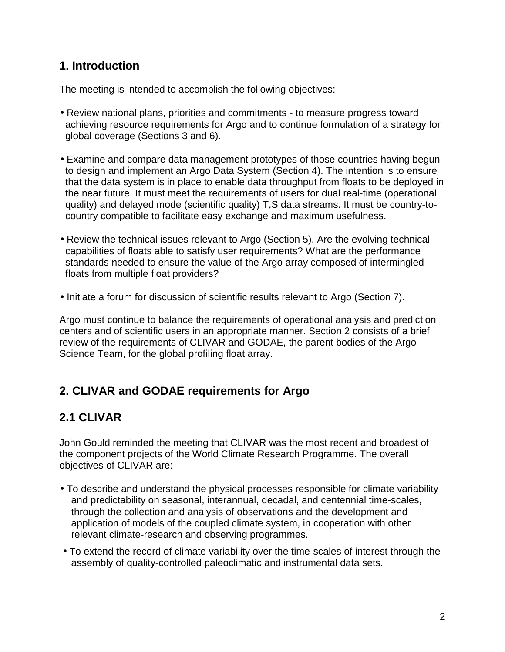### **1. Introduction**

The meeting is intended to accomplish the following objectives:

- Review national plans, priorities and commitments to measure progress toward achieving resource requirements for Argo and to continue formulation of a strategy for global coverage (Sections 3 and 6).
- Examine and compare data management prototypes of those countries having begun to design and implement an Argo Data System (Section 4). The intention is to ensure that the data system is in place to enable data throughput from floats to be deployed in the near future. It must meet the requirements of users for dual real-time (operational quality) and delayed mode (scientific quality) T,S data streams. It must be country-tocountry compatible to facilitate easy exchange and maximum usefulness.
- Review the technical issues relevant to Argo (Section 5). Are the evolving technical capabilities of floats able to satisfy user requirements? What are the performance standards needed to ensure the value of the Argo array composed of intermingled floats from multiple float providers?
- Initiate a forum for discussion of scientific results relevant to Argo (Section 7).

Argo must continue to balance the requirements of operational analysis and prediction centers and of scientific users in an appropriate manner. Section 2 consists of a brief review of the requirements of CLIVAR and GODAE, the parent bodies of the Argo Science Team, for the global profiling float array.

# **2. CLIVAR and GODAE requirements for Argo**

# **2.1 CLIVAR**

John Gould reminded the meeting that CLIVAR was the most recent and broadest of the component projects of the World Climate Research Programme. The overall objectives of CLIVAR are:

- To describe and understand the physical processes responsible for climate variability and predictability on seasonal, interannual, decadal, and centennial time-scales, through the collection and analysis of observations and the development and application of models of the coupled climate system, in cooperation with other relevant climate-research and observing programmes.
- To extend the record of climate variability over the time-scales of interest through the assembly of quality-controlled paleoclimatic and instrumental data sets.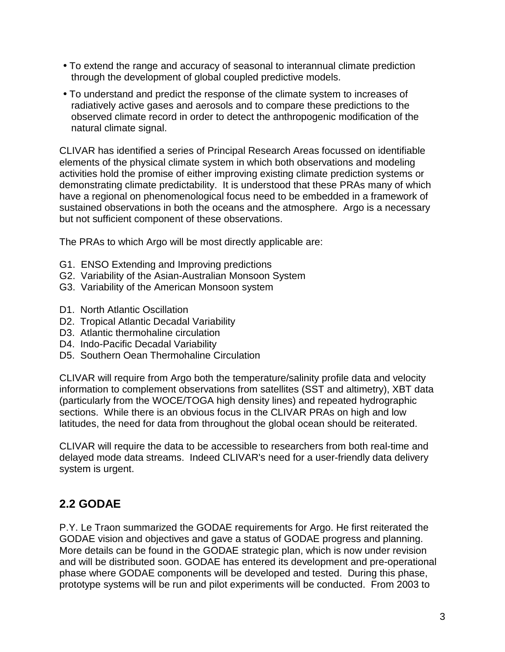- To extend the range and accuracy of seasonal to interannual climate prediction through the development of global coupled predictive models.
- To understand and predict the response of the climate system to increases of radiatively active gases and aerosols and to compare these predictions to the observed climate record in order to detect the anthropogenic modification of the natural climate signal.

CLIVAR has identified a series of Principal Research Areas focussed on identifiable elements of the physical climate system in which both observations and modeling activities hold the promise of either improving existing climate prediction systems or demonstrating climate predictability. It is understood that these PRAs many of which have a regional on phenomenological focus need to be embedded in a framework of sustained observations in both the oceans and the atmosphere. Argo is a necessary but not sufficient component of these observations.

The PRAs to which Argo will be most directly applicable are:

- G1. ENSO Extending and Improving predictions
- G2. Variability of the Asian-Australian Monsoon System
- G3. Variability of the American Monsoon system
- D1. North Atlantic Oscillation
- D2. Tropical Atlantic Decadal Variability
- D<sub>3</sub>. Atlantic thermohaline circulation
- D4. Indo-Pacific Decadal Variability
- D5. Southern Oean Thermohaline Circulation

CLIVAR will require from Argo both the temperature/salinity profile data and velocity information to complement observations from satellites (SST and altimetry), XBT data (particularly from the WOCE/TOGA high density lines) and repeated hydrographic sections. While there is an obvious focus in the CLIVAR PRAs on high and low latitudes, the need for data from throughout the global ocean should be reiterated.

CLIVAR will require the data to be accessible to researchers from both real-time and delayed mode data streams. Indeed CLIVAR's need for a user-friendly data delivery system is urgent.

# **2.2 GODAE**

P.Y. Le Traon summarized the GODAE requirements for Argo. He first reiterated the GODAE vision and objectives and gave a status of GODAE progress and planning. More details can be found in the GODAE strategic plan, which is now under revision and will be distributed soon. GODAE has entered its development and pre-operational phase where GODAE components will be developed and tested. During this phase, prototype systems will be run and pilot experiments will be conducted. From 2003 to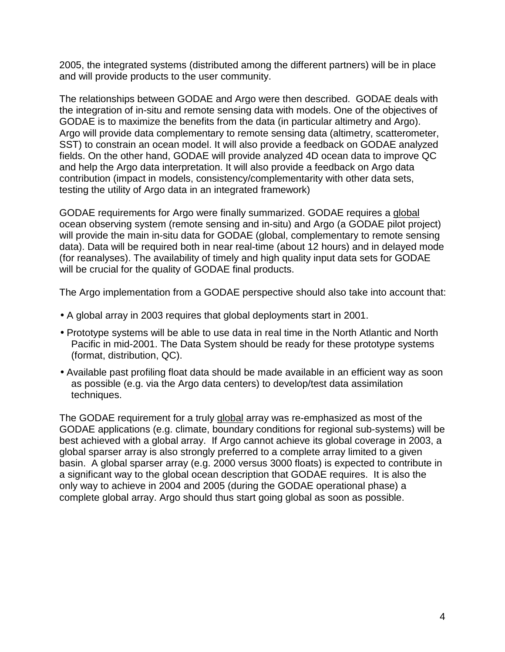2005, the integrated systems (distributed among the different partners) will be in place and will provide products to the user community.

The relationships between GODAE and Argo were then described. GODAE deals with the integration of in-situ and remote sensing data with models. One of the objectives of GODAE is to maximize the benefits from the data (in particular altimetry and Argo). Argo will provide data complementary to remote sensing data (altimetry, scatterometer, SST) to constrain an ocean model. It will also provide a feedback on GODAE analyzed fields. On the other hand, GODAE will provide analyzed 4D ocean data to improve QC and help the Argo data interpretation. It will also provide a feedback on Argo data contribution (impact in models, consistency/complementarity with other data sets, testing the utility of Argo data in an integrated framework)

GODAE requirements for Argo were finally summarized. GODAE requires a global ocean observing system (remote sensing and in-situ) and Argo (a GODAE pilot project) will provide the main in-situ data for GODAE (global, complementary to remote sensing data). Data will be required both in near real-time (about 12 hours) and in delayed mode (for reanalyses). The availability of timely and high quality input data sets for GODAE will be crucial for the quality of GODAE final products.

The Argo implementation from a GODAE perspective should also take into account that:

- A global array in 2003 requires that global deployments start in 2001.
- Prototype systems will be able to use data in real time in the North Atlantic and North Pacific in mid-2001. The Data System should be ready for these prototype systems (format, distribution, QC).
- Available past profiling float data should be made available in an efficient way as soon as possible (e.g. via the Argo data centers) to develop/test data assimilation techniques.

The GODAE requirement for a truly global array was re-emphasized as most of the GODAE applications (e.g. climate, boundary conditions for regional sub-systems) will be best achieved with a global array. If Argo cannot achieve its global coverage in 2003, a global sparser array is also strongly preferred to a complete array limited to a given basin. A global sparser array (e.g. 2000 versus 3000 floats) is expected to contribute in a significant way to the global ocean description that GODAE requires. It is also the only way to achieve in 2004 and 2005 (during the GODAE operational phase) a complete global array. Argo should thus start going global as soon as possible.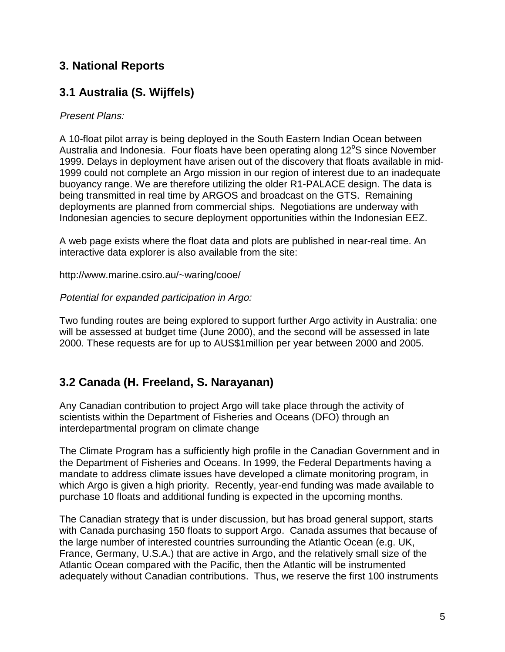## **3. National Reports**

# **3.1 Australia (S. Wijffels)**

#### Present Plans:

A 10-float pilot array is being deployed in the South Eastern Indian Ocean between Australia and Indonesia. Four floats have been operating along 12°S since November 1999. Delays in deployment have arisen out of the discovery that floats available in mid-1999 could not complete an Argo mission in our region of interest due to an inadequate buoyancy range. We are therefore utilizing the older R1-PALACE design. The data is being transmitted in real time by ARGOS and broadcast on the GTS. Remaining deployments are planned from commercial ships. Negotiations are underway with Indonesian agencies to secure deployment opportunities within the Indonesian EEZ.

A web page exists where the float data and plots are published in near-real time. An interactive data explorer is also available from the site:

http://www.marine.csiro.au/~waring/cooe/

Potential for expanded participation in Argo:

Two funding routes are being explored to support further Argo activity in Australia: one will be assessed at budget time (June 2000), and the second will be assessed in late 2000. These requests are for up to AUS\$1million per year between 2000 and 2005.

# **3.2 Canada (H. Freeland, S. Narayanan)**

Any Canadian contribution to project Argo will take place through the activity of scientists within the Department of Fisheries and Oceans (DFO) through an interdepartmental program on climate change

The Climate Program has a sufficiently high profile in the Canadian Government and in the Department of Fisheries and Oceans. In 1999, the Federal Departments having a mandate to address climate issues have developed a climate monitoring program, in which Argo is given a high priority. Recently, year-end funding was made available to purchase 10 floats and additional funding is expected in the upcoming months.

The Canadian strategy that is under discussion, but has broad general support, starts with Canada purchasing 150 floats to support Argo. Canada assumes that because of the large number of interested countries surrounding the Atlantic Ocean (e.g. UK, France, Germany, U.S.A.) that are active in Argo, and the relatively small size of the Atlantic Ocean compared with the Pacific, then the Atlantic will be instrumented adequately without Canadian contributions. Thus, we reserve the first 100 instruments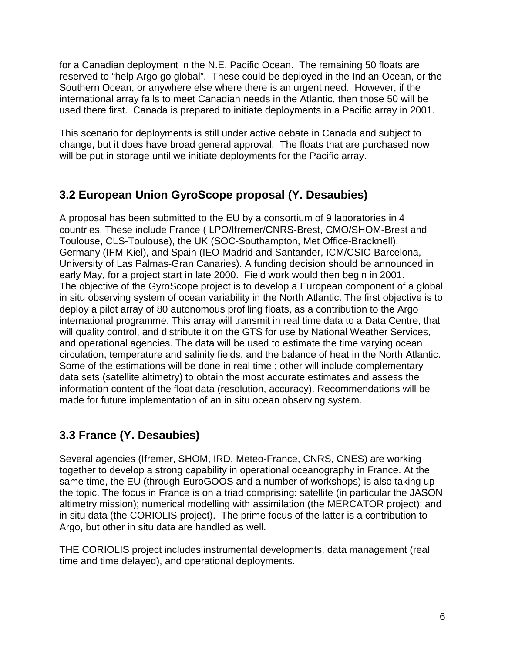for a Canadian deployment in the N.E. Pacific Ocean. The remaining 50 floats are reserved to "help Argo go global". These could be deployed in the Indian Ocean, or the Southern Ocean, or anywhere else where there is an urgent need. However, if the international array fails to meet Canadian needs in the Atlantic, then those 50 will be used there first. Canada is prepared to initiate deployments in a Pacific array in 2001.

This scenario for deployments is still under active debate in Canada and subject to change, but it does have broad general approval. The floats that are purchased now will be put in storage until we initiate deployments for the Pacific array.

### **3.2 European Union GyroScope proposal (Y. Desaubies)**

A proposal has been submitted to the EU by a consortium of 9 laboratories in 4 countries. These include France ( LPO/Ifremer/CNRS-Brest, CMO/SHOM-Brest and Toulouse, CLS-Toulouse), the UK (SOC-Southampton, Met Office-Bracknell), Germany (IFM-Kiel), and Spain (IEO-Madrid and Santander, ICM/CSIC-Barcelona, University of Las Palmas-Gran Canaries). A funding decision should be announced in early May, for a project start in late 2000. Field work would then begin in 2001. The objective of the GyroScope project is to develop a European component of a global in situ observing system of ocean variability in the North Atlantic. The first objective is to deploy a pilot array of 80 autonomous profiling floats, as a contribution to the Argo international programme. This array will transmit in real time data to a Data Centre, that will quality control, and distribute it on the GTS for use by National Weather Services, and operational agencies. The data will be used to estimate the time varying ocean circulation, temperature and salinity fields, and the balance of heat in the North Atlantic. Some of the estimations will be done in real time ; other will include complementary data sets (satellite altimetry) to obtain the most accurate estimates and assess the information content of the float data (resolution, accuracy). Recommendations will be made for future implementation of an in situ ocean observing system.

# **3.3 France (Y. Desaubies)**

Several agencies (Ifremer, SHOM, IRD, Meteo-France, CNRS, CNES) are working together to develop a strong capability in operational oceanography in France. At the same time, the EU (through EuroGOOS and a number of workshops) is also taking up the topic. The focus in France is on a triad comprising: satellite (in particular the JASON altimetry mission); numerical modelling with assimilation (the MERCATOR project); and in situ data (the CORIOLIS project). The prime focus of the latter is a contribution to Argo, but other in situ data are handled as well.

THE CORIOLIS project includes instrumental developments, data management (real time and time delayed), and operational deployments.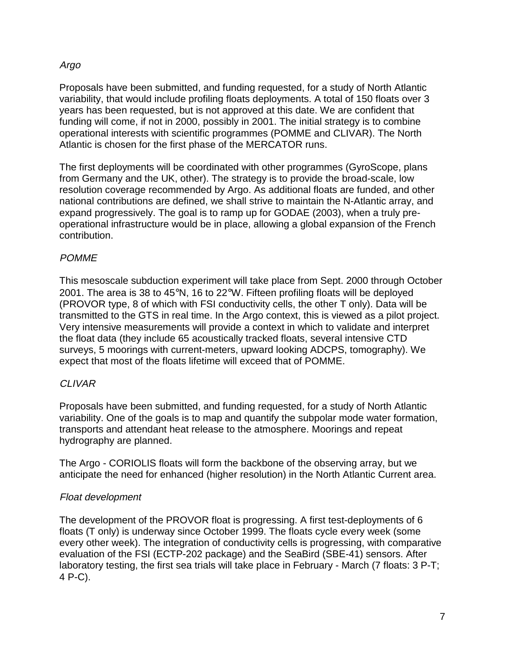#### Argo

Proposals have been submitted, and funding requested, for a study of North Atlantic variability, that would include profiling floats deployments. A total of 150 floats over 3 years has been requested, but is not approved at this date. We are confident that funding will come, if not in 2000, possibly in 2001. The initial strategy is to combine operational interests with scientific programmes (POMME and CLIVAR). The North Atlantic is chosen for the first phase of the MERCATOR runs.

The first deployments will be coordinated with other programmes (GyroScope, plans from Germany and the UK, other). The strategy is to provide the broad-scale, low resolution coverage recommended by Argo. As additional floats are funded, and other national contributions are defined, we shall strive to maintain the N-Atlantic array, and expand progressively. The goal is to ramp up for GODAE (2003), when a truly preoperational infrastructure would be in place, allowing a global expansion of the French contribution.

#### **POMME**

This mesoscale subduction experiment will take place from Sept. 2000 through October 2001. The area is 38 to 45°N, 16 to 22°W. Fifteen profiling floats will be deployed (PROVOR type, 8 of which with FSI conductivity cells, the other T only). Data will be transmitted to the GTS in real time. In the Argo context, this is viewed as a pilot project. Very intensive measurements will provide a context in which to validate and interpret the float data (they include 65 acoustically tracked floats, several intensive CTD surveys, 5 moorings with current-meters, upward looking ADCPS, tomography). We expect that most of the floats lifetime will exceed that of POMME.

#### CLIVAR

Proposals have been submitted, and funding requested, for a study of North Atlantic variability. One of the goals is to map and quantify the subpolar mode water formation, transports and attendant heat release to the atmosphere. Moorings and repeat hydrography are planned.

The Argo - CORIOLIS floats will form the backbone of the observing array, but we anticipate the need for enhanced (higher resolution) in the North Atlantic Current area.

#### Float development

The development of the PROVOR float is progressing. A first test-deployments of 6 floats (T only) is underway since October 1999. The floats cycle every week (some every other week). The integration of conductivity cells is progressing, with comparative evaluation of the FSI (ECTP-202 package) and the SeaBird (SBE-41) sensors. After laboratory testing, the first sea trials will take place in February - March (7 floats: 3 P-T; 4 P-C).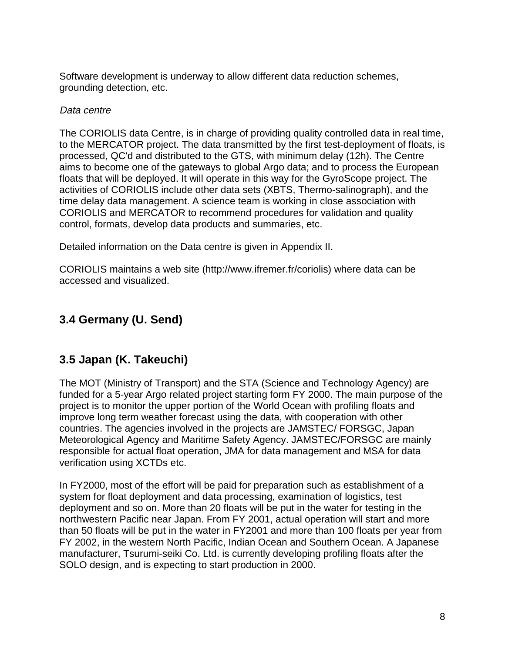Software development is underway to allow different data reduction schemes, grounding detection, etc.

#### Data centre

The CORIOLIS data Centre, is in charge of providing quality controlled data in real time, to the MERCATOR project. The data transmitted by the first test-deployment of floats, is processed, QC'd and distributed to the GTS, with minimum delay (12h). The Centre aims to become one of the gateways to global Argo data; and to process the European floats that will be deployed. It will operate in this way for the GyroScope project. The activities of CORIOLIS include other data sets (XBTS, Thermo-salinograph), and the time delay data management. A science team is working in close association with CORIOLIS and MERCATOR to recommend procedures for validation and quality control, formats, develop data products and summaries, etc.

Detailed information on the Data centre is given in Appendix II.

CORIOLIS maintains a web site (http://www.ifremer.fr/coriolis) where data can be accessed and visualized.

# **3.4 Germany (U. Send)**

# **3.5 Japan (K. Takeuchi)**

The MOT (Ministry of Transport) and the STA (Science and Technology Agency) are funded for a 5-year Argo related project starting form FY 2000. The main purpose of the project is to monitor the upper portion of the World Ocean with profiling floats and improve long term weather forecast using the data, with cooperation with other countries. The agencies involved in the projects are JAMSTEC/ FORSGC, Japan Meteorological Agency and Maritime Safety Agency. JAMSTEC/FORSGC are mainly responsible for actual float operation, JMA for data management and MSA for data verification using XCTDs etc.

In FY2000, most of the effort will be paid for preparation such as establishment of a system for float deployment and data processing, examination of logistics, test deployment and so on. More than 20 floats will be put in the water for testing in the northwestern Pacific near Japan. From FY 2001, actual operation will start and more than 50 floats will be put in the water in FY2001 and more than 100 floats per year from FY 2002, in the western North Pacific, Indian Ocean and Southern Ocean. A Japanese manufacturer, Tsurumi-seiki Co. Ltd. is currently developing profiling floats after the SOLO design, and is expecting to start production in 2000.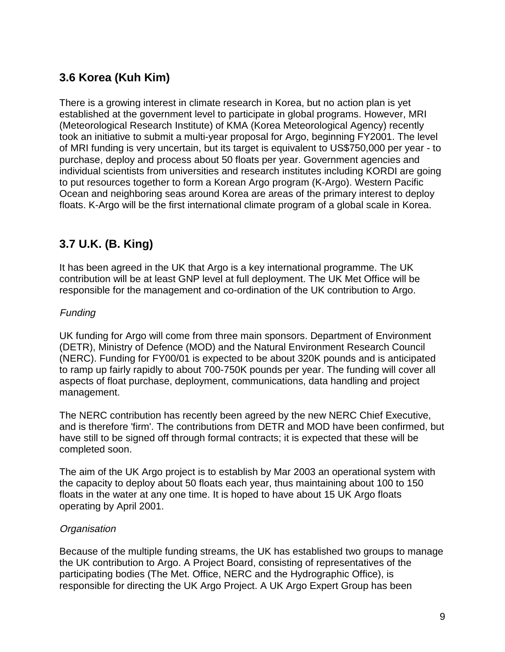# **3.6 Korea (Kuh Kim)**

There is a growing interest in climate research in Korea, but no action plan is yet established at the government level to participate in global programs. However, MRI (Meteorological Research Institute) of KMA (Korea Meteorological Agency) recently took an initiative to submit a multi-year proposal for Argo, beginning FY2001. The level of MRI funding is very uncertain, but its target is equivalent to US\$750,000 per year - to purchase, deploy and process about 50 floats per year. Government agencies and individual scientists from universities and research institutes including KORDI are going to put resources together to form a Korean Argo program (K-Argo). Western Pacific Ocean and neighboring seas around Korea are areas of the primary interest to deploy floats. K-Argo will be the first international climate program of a global scale in Korea.

# **3.7 U.K. (B. King)**

It has been agreed in the UK that Argo is a key international programme. The UK contribution will be at least GNP level at full deployment. The UK Met Office will be responsible for the management and co-ordination of the UK contribution to Argo.

#### Funding

UK funding for Argo will come from three main sponsors. Department of Environment (DETR), Ministry of Defence (MOD) and the Natural Environment Research Council (NERC). Funding for FY00/01 is expected to be about 320K pounds and is anticipated to ramp up fairly rapidly to about 700-750K pounds per year. The funding will cover all aspects of float purchase, deployment, communications, data handling and project management.

The NERC contribution has recently been agreed by the new NERC Chief Executive, and is therefore 'firm'. The contributions from DETR and MOD have been confirmed, but have still to be signed off through formal contracts; it is expected that these will be completed soon.

The aim of the UK Argo project is to establish by Mar 2003 an operational system with the capacity to deploy about 50 floats each year, thus maintaining about 100 to 150 floats in the water at any one time. It is hoped to have about 15 UK Argo floats operating by April 2001.

#### **Organisation**

Because of the multiple funding streams, the UK has established two groups to manage the UK contribution to Argo. A Project Board, consisting of representatives of the participating bodies (The Met. Office, NERC and the Hydrographic Office), is responsible for directing the UK Argo Project. A UK Argo Expert Group has been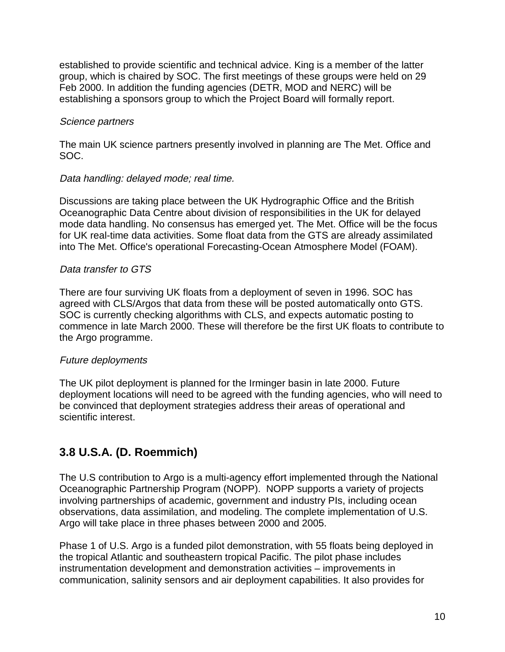established to provide scientific and technical advice. King is a member of the latter group, which is chaired by SOC. The first meetings of these groups were held on 29 Feb 2000. In addition the funding agencies (DETR, MOD and NERC) will be establishing a sponsors group to which the Project Board will formally report.

#### Science partners

The main UK science partners presently involved in planning are The Met. Office and SOC.

#### Data handling: delayed mode; real time.

Discussions are taking place between the UK Hydrographic Office and the British Oceanographic Data Centre about division of responsibilities in the UK for delayed mode data handling. No consensus has emerged yet. The Met. Office will be the focus for UK real-time data activities. Some float data from the GTS are already assimilated into The Met. Office's operational Forecasting-Ocean Atmosphere Model (FOAM).

#### Data transfer to GTS

There are four surviving UK floats from a deployment of seven in 1996. SOC has agreed with CLS/Argos that data from these will be posted automatically onto GTS. SOC is currently checking algorithms with CLS, and expects automatic posting to commence in late March 2000. These will therefore be the first UK floats to contribute to the Argo programme.

#### Future deployments

The UK pilot deployment is planned for the Irminger basin in late 2000. Future deployment locations will need to be agreed with the funding agencies, who will need to be convinced that deployment strategies address their areas of operational and scientific interest.

# **3.8 U.S.A. (D. Roemmich)**

The U.S contribution to Argo is a multi-agency effort implemented through the National Oceanographic Partnership Program (NOPP). NOPP supports a variety of projects involving partnerships of academic, government and industry PIs, including ocean observations, data assimilation, and modeling. The complete implementation of U.S. Argo will take place in three phases between 2000 and 2005.

Phase 1 of U.S. Argo is a funded pilot demonstration, with 55 floats being deployed in the tropical Atlantic and southeastern tropical Pacific. The pilot phase includes instrumentation development and demonstration activities – improvements in communication, salinity sensors and air deployment capabilities. It also provides for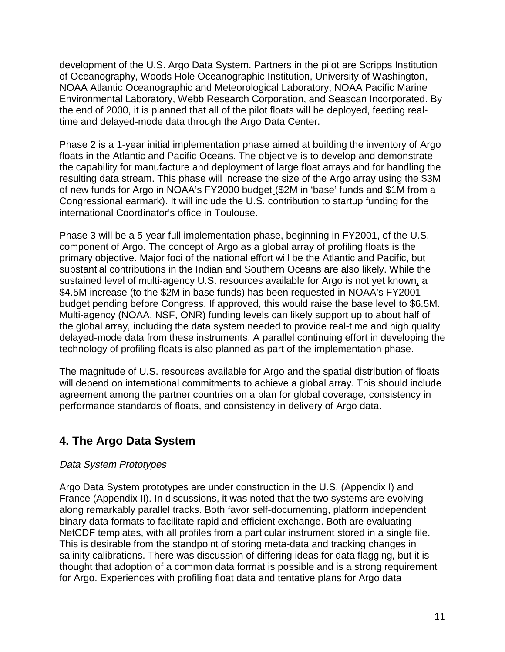development of the U.S. Argo Data System. Partners in the pilot are Scripps Institution of Oceanography, Woods Hole Oceanographic Institution, University of Washington, NOAA Atlantic Oceanographic and Meteorological Laboratory, NOAA Pacific Marine Environmental Laboratory, Webb Research Corporation, and Seascan Incorporated. By the end of 2000, it is planned that all of the pilot floats will be deployed, feeding realtime and delayed-mode data through the Argo Data Center.

Phase 2 is a 1-year initial implementation phase aimed at building the inventory of Argo floats in the Atlantic and Pacific Oceans. The objective is to develop and demonstrate the capability for manufacture and deployment of large float arrays and for handling the resulting data stream. This phase will increase the size of the Argo array using the \$3M of new funds for Argo in NOAA's FY2000 budget (\$2M in 'base' funds and \$1M from a Congressional earmark). It will include the U.S. contribution to startup funding for the international Coordinator's office in Toulouse.

Phase 3 will be a 5-year full implementation phase, beginning in FY2001, of the U.S. component of Argo. The concept of Argo as a global array of profiling floats is the primary objective. Major foci of the national effort will be the Atlantic and Pacific, but substantial contributions in the Indian and Southern Oceans are also likely. While the sustained level of multi-agency U.S. resources available for Argo is not yet known, a \$4.5M increase (to the \$2M in base funds) has been requested in NOAA's FY2001 budget pending before Congress. If approved, this would raise the base level to \$6.5M. Multi-agency (NOAA, NSF, ONR) funding levels can likely support up to about half of the global array, including the data system needed to provide real-time and high quality delayed-mode data from these instruments. A parallel continuing effort in developing the technology of profiling floats is also planned as part of the implementation phase.

The magnitude of U.S. resources available for Argo and the spatial distribution of floats will depend on international commitments to achieve a global array. This should include agreement among the partner countries on a plan for global coverage, consistency in performance standards of floats, and consistency in delivery of Argo data.

# **4. The Argo Data System**

#### Data System Prototypes

Argo Data System prototypes are under construction in the U.S. (Appendix I) and France (Appendix II). In discussions, it was noted that the two systems are evolving along remarkably parallel tracks. Both favor self-documenting, platform independent binary data formats to facilitate rapid and efficient exchange. Both are evaluating NetCDF templates, with all profiles from a particular instrument stored in a single file. This is desirable from the standpoint of storing meta-data and tracking changes in salinity calibrations. There was discussion of differing ideas for data flagging, but it is thought that adoption of a common data format is possible and is a strong requirement for Argo. Experiences with profiling float data and tentative plans for Argo data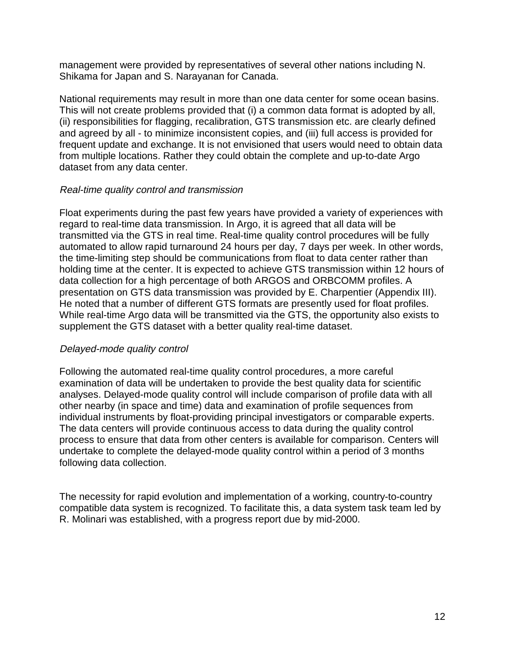management were provided by representatives of several other nations including N. Shikama for Japan and S. Narayanan for Canada.

National requirements may result in more than one data center for some ocean basins. This will not create problems provided that (i) a common data format is adopted by all, (ii) responsibilities for flagging, recalibration, GTS transmission etc. are clearly defined and agreed by all - to minimize inconsistent copies, and (iii) full access is provided for frequent update and exchange. It is not envisioned that users would need to obtain data from multiple locations. Rather they could obtain the complete and up-to-date Argo dataset from any data center.

#### Real-time quality control and transmission

Float experiments during the past few years have provided a variety of experiences with regard to real-time data transmission. In Argo, it is agreed that all data will be transmitted via the GTS in real time. Real-time quality control procedures will be fully automated to allow rapid turnaround 24 hours per day, 7 days per week. In other words, the time-limiting step should be communications from float to data center rather than holding time at the center. It is expected to achieve GTS transmission within 12 hours of data collection for a high percentage of both ARGOS and ORBCOMM profiles. A presentation on GTS data transmission was provided by E. Charpentier (Appendix III). He noted that a number of different GTS formats are presently used for float profiles. While real-time Argo data will be transmitted via the GTS, the opportunity also exists to supplement the GTS dataset with a better quality real-time dataset.

#### Delayed-mode quality control

Following the automated real-time quality control procedures, a more careful examination of data will be undertaken to provide the best quality data for scientific analyses. Delayed-mode quality control will include comparison of profile data with all other nearby (in space and time) data and examination of profile sequences from individual instruments by float-providing principal investigators or comparable experts. The data centers will provide continuous access to data during the quality control process to ensure that data from other centers is available for comparison. Centers will undertake to complete the delayed-mode quality control within a period of 3 months following data collection.

The necessity for rapid evolution and implementation of a working, country-to-country compatible data system is recognized. To facilitate this, a data system task team led by R. Molinari was established, with a progress report due by mid-2000.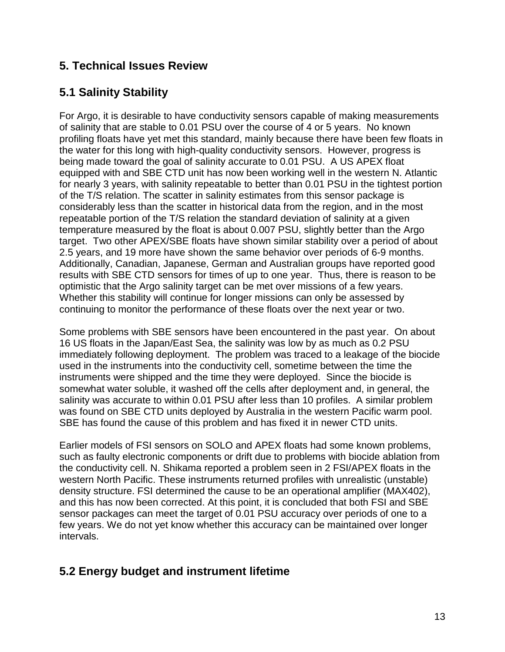### **5. Technical Issues Review**

# **5.1 Salinity Stability**

For Argo, it is desirable to have conductivity sensors capable of making measurements of salinity that are stable to 0.01 PSU over the course of 4 or 5 years. No known profiling floats have yet met this standard, mainly because there have been few floats in the water for this long with high-quality conductivity sensors. However, progress is being made toward the goal of salinity accurate to 0.01 PSU. A US APEX float equipped with and SBE CTD unit has now been working well in the western N. Atlantic for nearly 3 years, with salinity repeatable to better than 0.01 PSU in the tightest portion of the T/S relation. The scatter in salinity estimates from this sensor package is considerably less than the scatter in historical data from the region, and in the most repeatable portion of the T/S relation the standard deviation of salinity at a given temperature measured by the float is about 0.007 PSU, slightly better than the Argo target. Two other APEX/SBE floats have shown similar stability over a period of about 2.5 years, and 19 more have shown the same behavior over periods of 6-9 months. Additionally, Canadian, Japanese, German and Australian groups have reported good results with SBE CTD sensors for times of up to one year. Thus, there is reason to be optimistic that the Argo salinity target can be met over missions of a few years. Whether this stability will continue for longer missions can only be assessed by continuing to monitor the performance of these floats over the next year or two.

Some problems with SBE sensors have been encountered in the past year. On about 16 US floats in the Japan/East Sea, the salinity was low by as much as 0.2 PSU immediately following deployment. The problem was traced to a leakage of the biocide used in the instruments into the conductivity cell, sometime between the time the instruments were shipped and the time they were deployed. Since the biocide is somewhat water soluble, it washed off the cells after deployment and, in general, the salinity was accurate to within 0.01 PSU after less than 10 profiles. A similar problem was found on SBE CTD units deployed by Australia in the western Pacific warm pool. SBE has found the cause of this problem and has fixed it in newer CTD units.

Earlier models of FSI sensors on SOLO and APEX floats had some known problems, such as faulty electronic components or drift due to problems with biocide ablation from the conductivity cell. N. Shikama reported a problem seen in 2 FSI/APEX floats in the western North Pacific. These instruments returned profiles with unrealistic (unstable) density structure. FSI determined the cause to be an operational amplifier (MAX402), and this has now been corrected. At this point, it is concluded that both FSI and SBE sensor packages can meet the target of 0.01 PSU accuracy over periods of one to a few years. We do not yet know whether this accuracy can be maintained over longer intervals.

# **5.2 Energy budget and instrument lifetime**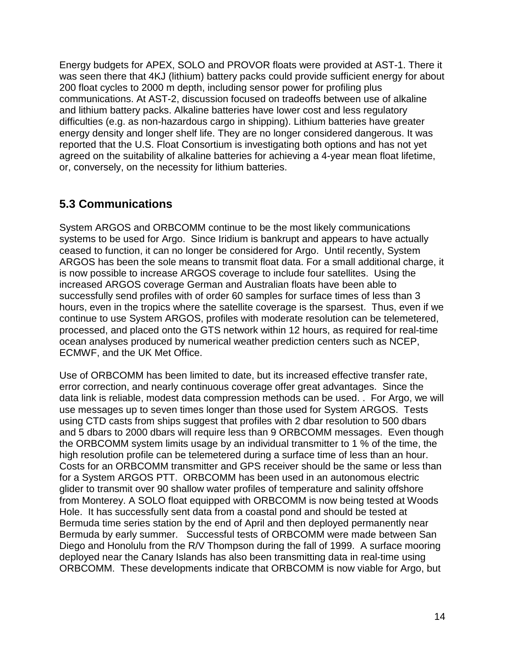Energy budgets for APEX, SOLO and PROVOR floats were provided at AST-1. There it was seen there that 4KJ (lithium) battery packs could provide sufficient energy for about 200 float cycles to 2000 m depth, including sensor power for profiling plus communications. At AST-2, discussion focused on tradeoffs between use of alkaline and lithium battery packs. Alkaline batteries have lower cost and less regulatory difficulties (e.g. as non-hazardous cargo in shipping). Lithium batteries have greater energy density and longer shelf life. They are no longer considered dangerous. It was reported that the U.S. Float Consortium is investigating both options and has not yet agreed on the suitability of alkaline batteries for achieving a 4-year mean float lifetime, or, conversely, on the necessity for lithium batteries.

# **5.3 Communications**

System ARGOS and ORBCOMM continue to be the most likely communications systems to be used for Argo. Since Iridium is bankrupt and appears to have actually ceased to function, it can no longer be considered for Argo. Until recently, System ARGOS has been the sole means to transmit float data. For a small additional charge, it is now possible to increase ARGOS coverage to include four satellites. Using the increased ARGOS coverage German and Australian floats have been able to successfully send profiles with of order 60 samples for surface times of less than 3 hours, even in the tropics where the satellite coverage is the sparsest. Thus, even if we continue to use System ARGOS, profiles with moderate resolution can be telemetered, processed, and placed onto the GTS network within 12 hours, as required for real-time ocean analyses produced by numerical weather prediction centers such as NCEP, ECMWF, and the UK Met Office.

Use of ORBCOMM has been limited to date, but its increased effective transfer rate, error correction, and nearly continuous coverage offer great advantages. Since the data link is reliable, modest data compression methods can be used. . For Argo, we will use messages up to seven times longer than those used for System ARGOS. Tests using CTD casts from ships suggest that profiles with 2 dbar resolution to 500 dbars and 5 dbars to 2000 dbars will require less than 9 ORBCOMM messages. Even though the ORBCOMM system limits usage by an individual transmitter to 1 % of the time, the high resolution profile can be telemetered during a surface time of less than an hour. Costs for an ORBCOMM transmitter and GPS receiver should be the same or less than for a System ARGOS PTT. ORBCOMM has been used in an autonomous electric glider to transmit over 90 shallow water profiles of temperature and salinity offshore from Monterey. A SOLO float equipped with ORBCOMM is now being tested at Woods Hole. It has successfully sent data from a coastal pond and should be tested at Bermuda time series station by the end of April and then deployed permanently near Bermuda by early summer. Successful tests of ORBCOMM were made between San Diego and Honolulu from the R/V Thompson during the fall of 1999. A surface mooring deployed near the Canary Islands has also been transmitting data in real-time using ORBCOMM. These developments indicate that ORBCOMM is now viable for Argo, but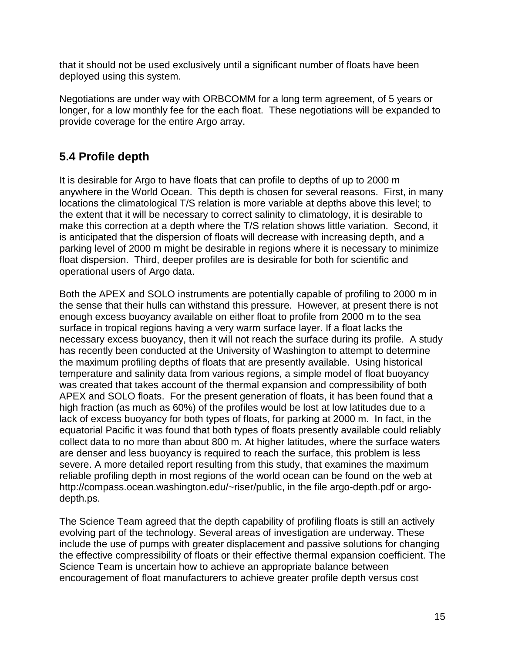that it should not be used exclusively until a significant number of floats have been deployed using this system.

Negotiations are under way with ORBCOMM for a long term agreement, of 5 years or longer, for a low monthly fee for the each float. These negotiations will be expanded to provide coverage for the entire Argo array.

# **5.4 Profile depth**

It is desirable for Argo to have floats that can profile to depths of up to 2000 m anywhere in the World Ocean. This depth is chosen for several reasons. First, in many locations the climatological T/S relation is more variable at depths above this level; to the extent that it will be necessary to correct salinity to climatology, it is desirable to make this correction at a depth where the T/S relation shows little variation. Second, it is anticipated that the dispersion of floats will decrease with increasing depth, and a parking level of 2000 m might be desirable in regions where it is necessary to minimize float dispersion. Third, deeper profiles are is desirable for both for scientific and operational users of Argo data.

Both the APEX and SOLO instruments are potentially capable of profiling to 2000 m in the sense that their hulls can withstand this pressure. However, at present there is not enough excess buoyancy available on either float to profile from 2000 m to the sea surface in tropical regions having a very warm surface layer. If a float lacks the necessary excess buoyancy, then it will not reach the surface during its profile. A study has recently been conducted at the University of Washington to attempt to determine the maximum profiling depths of floats that are presently available. Using historical temperature and salinity data from various regions, a simple model of float buoyancy was created that takes account of the thermal expansion and compressibility of both APEX and SOLO floats. For the present generation of floats, it has been found that a high fraction (as much as 60%) of the profiles would be lost at low latitudes due to a lack of excess buoyancy for both types of floats, for parking at 2000 m. In fact, in the equatorial Pacific it was found that both types of floats presently available could reliably collect data to no more than about 800 m. At higher latitudes, where the surface waters are denser and less buoyancy is required to reach the surface, this problem is less severe. A more detailed report resulting from this study, that examines the maximum reliable profiling depth in most regions of the world ocean can be found on the web at http://compass.ocean.washington.edu/~riser/public, in the file argo-depth.pdf or argodepth.ps.

The Science Team agreed that the depth capability of profiling floats is still an actively evolving part of the technology. Several areas of investigation are underway. These include the use of pumps with greater displacement and passive solutions for changing the effective compressibility of floats or their effective thermal expansion coefficient. The Science Team is uncertain how to achieve an appropriate balance between encouragement of float manufacturers to achieve greater profile depth versus cost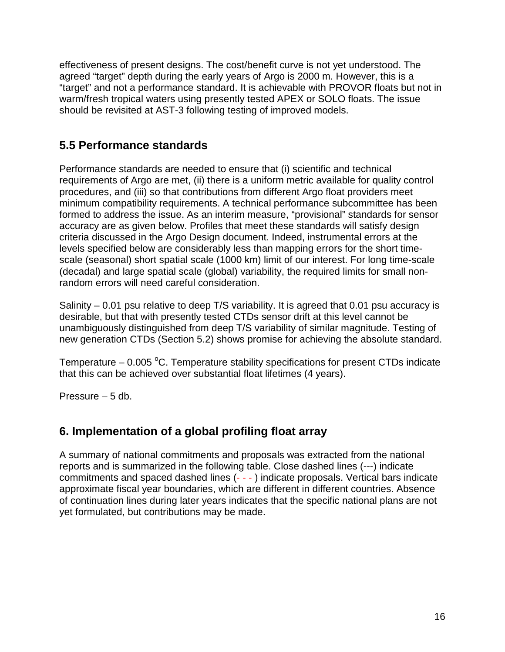effectiveness of present designs. The cost/benefit curve is not yet understood. The agreed "target" depth during the early years of Argo is 2000 m. However, this is a "target" and not a performance standard. It is achievable with PROVOR floats but not in warm/fresh tropical waters using presently tested APEX or SOLO floats. The issue should be revisited at AST-3 following testing of improved models.

# **5.5 Performance standards**

Performance standards are needed to ensure that (i) scientific and technical requirements of Argo are met, (ii) there is a uniform metric available for quality control procedures, and (iii) so that contributions from different Argo float providers meet minimum compatibility requirements. A technical performance subcommittee has been formed to address the issue. As an interim measure, "provisional" standards for sensor accuracy are as given below. Profiles that meet these standards will satisfy design criteria discussed in the Argo Design document. Indeed, instrumental errors at the levels specified below are considerably less than mapping errors for the short timescale (seasonal) short spatial scale (1000 km) limit of our interest. For long time-scale (decadal) and large spatial scale (global) variability, the required limits for small nonrandom errors will need careful consideration.

Salinity – 0.01 psu relative to deep T/S variability. It is agreed that 0.01 psu accuracy is desirable, but that with presently tested CTDs sensor drift at this level cannot be unambiguously distinguished from deep T/S variability of similar magnitude. Testing of new generation CTDs (Section 5.2) shows promise for achieving the absolute standard.

Temperature – 0.005 °C. Temperature stability specifications for present CTDs indicate that this can be achieved over substantial float lifetimes (4 years).

Pressure – 5 db.

# **6. Implementation of a global profiling float array**

A summary of national commitments and proposals was extracted from the national reports and is summarized in the following table. Close dashed lines (---) indicate commitments and spaced dashed lines (- - - ) indicate proposals. Vertical bars indicate approximate fiscal year boundaries, which are different in different countries. Absence of continuation lines during later years indicates that the specific national plans are not yet formulated, but contributions may be made.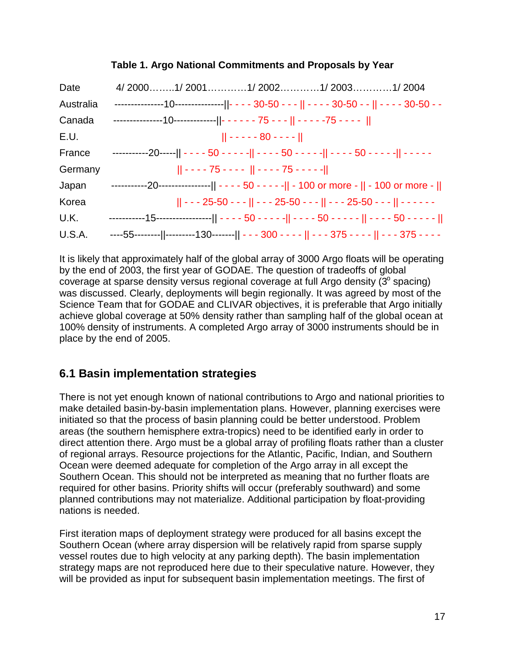| Date      |                                                                                                        |
|-----------|--------------------------------------------------------------------------------------------------------|
| Australia | ---------------10---------------  - - - - 30-50 - - -    - - - - 30-50 - -    - - - - 30-50 - -        |
| Canada    | ---------------10-------------  - - - - - - 75 - - -    - - - - -75 - - - -                            |
| E.U.      | $   - - - - 80 - - -   $                                                                               |
| France    | -----------20-----   - - - - 50 - - - - -   - - - - 50 - - - - -   - - - - 50 - - - - -   - - - - -    |
| Germany   | $   - - - 75 - - -    - - - 75 - - - -   $                                                             |
| Japan     | -----------20----------------   - - - - 50 - - - - -   - 100 or more -    - 100 or more -              |
| Korea     | $   - - 25 - 50 - -    - - - 25 - 50 - -    - - - 25 - 50 - - -    - - - - - -$                        |
| U.K.      | -----------15-------------------   - - - - 50 - - - - -   - - - - 50 - - - - -    - - - - 50 - - - - - |
| U.S.A.    | ----55--------  ---------130-------   - - - 300 - - - -    - - - 375 - - - -    - - - 375 - - - -      |

#### **Table 1. Argo National Commitments and Proposals by Year**

It is likely that approximately half of the global array of 3000 Argo floats will be operating by the end of 2003, the first year of GODAE. The question of tradeoffs of global coverage at sparse density versus regional coverage at full Argo density  $(3^\circ$  spacing) was discussed. Clearly, deployments will begin regionally. It was agreed by most of the Science Team that for GODAE and CLIVAR objectives, it is preferable that Argo initially achieve global coverage at 50% density rather than sampling half of the global ocean at 100% density of instruments. A completed Argo array of 3000 instruments should be in place by the end of 2005.

# **6.1 Basin implementation strategies**

There is not yet enough known of national contributions to Argo and national priorities to make detailed basin-by-basin implementation plans. However, planning exercises were initiated so that the process of basin planning could be better understood. Problem areas (the southern hemisphere extra-tropics) need to be identified early in order to direct attention there. Argo must be a global array of profiling floats rather than a cluster of regional arrays. Resource projections for the Atlantic, Pacific, Indian, and Southern Ocean were deemed adequate for completion of the Argo array in all except the Southern Ocean. This should not be interpreted as meaning that no further floats are required for other basins. Priority shifts will occur (preferably southward) and some planned contributions may not materialize. Additional participation by float-providing nations is needed.

First iteration maps of deployment strategy were produced for all basins except the Southern Ocean (where array dispersion will be relatively rapid from sparse supply vessel routes due to high velocity at any parking depth). The basin implementation strategy maps are not reproduced here due to their speculative nature. However, they will be provided as input for subsequent basin implementation meetings. The first of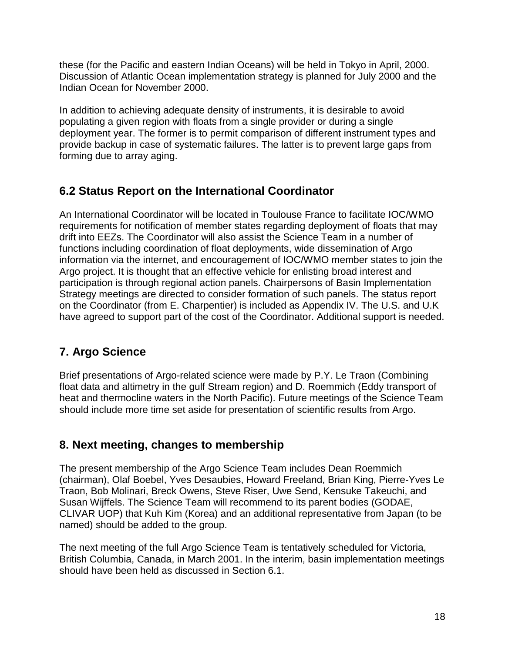these (for the Pacific and eastern Indian Oceans) will be held in Tokyo in April, 2000. Discussion of Atlantic Ocean implementation strategy is planned for July 2000 and the Indian Ocean for November 2000.

In addition to achieving adequate density of instruments, it is desirable to avoid populating a given region with floats from a single provider or during a single deployment year. The former is to permit comparison of different instrument types and provide backup in case of systematic failures. The latter is to prevent large gaps from forming due to array aging.

# **6.2 Status Report on the International Coordinator**

An International Coordinator will be located in Toulouse France to facilitate IOC/WMO requirements for notification of member states regarding deployment of floats that may drift into EEZs. The Coordinator will also assist the Science Team in a number of functions including coordination of float deployments, wide dissemination of Argo information via the internet, and encouragement of IOC/WMO member states to join the Argo project. It is thought that an effective vehicle for enlisting broad interest and participation is through regional action panels. Chairpersons of Basin Implementation Strategy meetings are directed to consider formation of such panels. The status report on the Coordinator (from E. Charpentier) is included as Appendix IV. The U.S. and U.K have agreed to support part of the cost of the Coordinator. Additional support is needed.

# **7. Argo Science**

Brief presentations of Argo-related science were made by P.Y. Le Traon (Combining float data and altimetry in the gulf Stream region) and D. Roemmich (Eddy transport of heat and thermocline waters in the North Pacific). Future meetings of the Science Team should include more time set aside for presentation of scientific results from Argo.

# **8. Next meeting, changes to membership**

The present membership of the Argo Science Team includes Dean Roemmich (chairman), Olaf Boebel, Yves Desaubies, Howard Freeland, Brian King, Pierre-Yves Le Traon, Bob Molinari, Breck Owens, Steve Riser, Uwe Send, Kensuke Takeuchi, and Susan Wijffels. The Science Team will recommend to its parent bodies (GODAE, CLIVAR UOP) that Kuh Kim (Korea) and an additional representative from Japan (to be named) should be added to the group.

The next meeting of the full Argo Science Team is tentatively scheduled for Victoria, British Columbia, Canada, in March 2001. In the interim, basin implementation meetings should have been held as discussed in Section 6.1.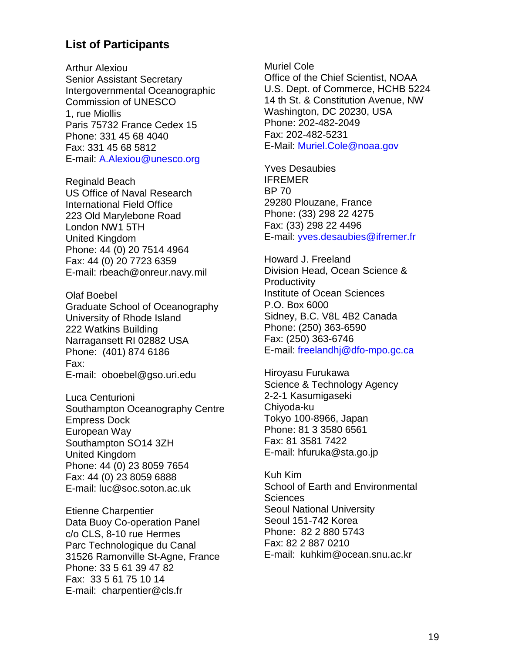#### **List of Participants**

Arthur Alexiou Senior Assistant Secretary Intergovernmental Oceanographic Commission of UNESCO 1, rue Miollis Paris 75732 France Cedex 15 Phone: 331 45 68 4040 Fax: 331 45 68 5812 E-mail: A.Alexiou@unesco.org

Reginald Beach US Office of Naval Research International Field Office 223 Old Marylebone Road London NW1 5TH United Kingdom Phone: 44 (0) 20 7514 4964 Fax: 44 (0) 20 7723 6359 E-mail: rbeach@onreur.navy.mil

Olaf Boebel Graduate School of Oceanography University of Rhode Island 222 Watkins Building Narragansett RI 02882 USA Phone: (401) 874 6186 Fax: E-mail: oboebel@gso.uri.edu

Luca Centurioni Southampton Oceanography Centre Empress Dock European Way Southampton SO14 3ZH United Kingdom Phone: 44 (0) 23 8059 7654 Fax: 44 (0) 23 8059 6888 E-mail: luc@soc.soton.ac.uk

Etienne Charpentier Data Buoy Co-operation Panel c/o CLS, 8-10 rue Hermes Parc Technologique du Canal 31526 Ramonville St-Agne, France Phone: 33 5 61 39 47 82 Fax: 33 5 61 75 10 14 E-mail: charpentier@cls.fr

Muriel Cole Office of the Chief Scientist, NOAA U.S. Dept. of Commerce, HCHB 5224 14 th St. & Constitution Avenue, NW Washington, DC 20230, USA Phone: 202-482-2049 Fax: 202-482-5231 E-Mail: Muriel.Cole@noaa.gov

Yves Desaubies IFREMER BP 70 29280 Plouzane, France Phone: (33) 298 22 4275 Fax: (33) 298 22 4496 E-mail: yves.desaubies@ifremer.fr

Howard J. Freeland Division Head, Ocean Science & **Productivity** Institute of Ocean Sciences P.O. Box 6000 Sidney, B.C. V8L 4B2 Canada Phone: (250) 363-6590 Fax: (250) 363-6746 E-mail: freelandhj@dfo-mpo.gc.ca

Hiroyasu Furukawa Science & Technology Agency 2-2-1 Kasumigaseki Chiyoda-ku Tokyo 100-8966, Japan Phone: 81 3 3580 6561 Fax: 81 3581 7422 E-mail: hfuruka@sta.go.jp

Kuh Kim School of Earth and Environmental **Sciences** Seoul National University Seoul 151-742 Korea Phone: 82 2 880 5743 Fax: 82 2 887 0210 E-mail: kuhkim@ocean.snu.ac.kr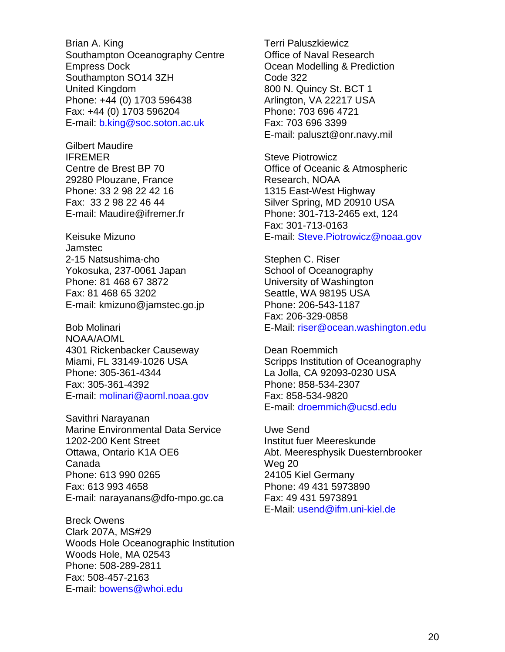Brian A. King Southampton Oceanography Centre Empress Dock Southampton SO14 3ZH United Kingdom Phone: +44 (0) 1703 596438 Fax: +44 (0) 1703 596204 E-mail: b.king@soc.soton.ac.uk

Gilbert Maudire IFREMER Centre de Brest BP 70 29280 Plouzane, France Phone: 33 2 98 22 42 16 Fax: 33 2 98 22 46 44 E-mail: Maudire@ifremer.fr

Keisuke Mizuno Jamstec 2-15 Natsushima-cho Yokosuka, 237-0061 Japan Phone: 81 468 67 3872 Fax: 81 468 65 3202 E-mail: kmizuno@jamstec.go.jp

Bob Molinari NOAA/AOML 4301 Rickenbacker Causeway Miami, FL 33149-1026 USA Phone: 305-361-4344 Fax: 305-361-4392 E-mail: molinari@aoml.noaa.gov

Savithri Narayanan Marine Environmental Data Service 1202-200 Kent Street Ottawa, Ontario K1A OE6 Canada Phone: 613 990 0265 Fax: 613 993 4658 E-mail: narayanans@dfo-mpo.gc.ca

Breck Owens Clark 207A, MS#29 Woods Hole Oceanographic Institution Woods Hole, MA 02543 Phone: 508-289-2811 Fax: 508-457-2163 E-mail: bowens@whoi.edu

Terri Paluszkiewicz Office of Naval Research Ocean Modelling & Prediction Code 322 800 N. Quincy St. BCT 1 Arlington, VA 22217 USA Phone: 703 696 4721 Fax: 703 696 3399 E-mail: paluszt@onr.navy.mil

Steve Piotrowicz Office of Oceanic & Atmospheric Research, NOAA 1315 East-West Highway Silver Spring, MD 20910 USA Phone: 301-713-2465 ext, 124 Fax: 301-713-0163 E-mail: Steve.Piotrowicz@noaa.gov

Stephen C. Riser School of Oceanography University of Washington Seattle, WA 98195 USA Phone: 206-543-1187 Fax: 206-329-0858 E-Mail: riser@ocean.washington.edu

Dean Roemmich Scripps Institution of Oceanography La Jolla, CA 92093-0230 USA Phone: 858-534-2307 Fax: 858-534-9820 E-mail: droemmich@ucsd.edu

Uwe Send Institut fuer Meereskunde Abt. Meeresphysik Duesternbrooker Weg 20 24105 Kiel Germany Phone: 49 431 5973890 Fax: 49 431 5973891 E-Mail: usend@ifm.uni-kiel.de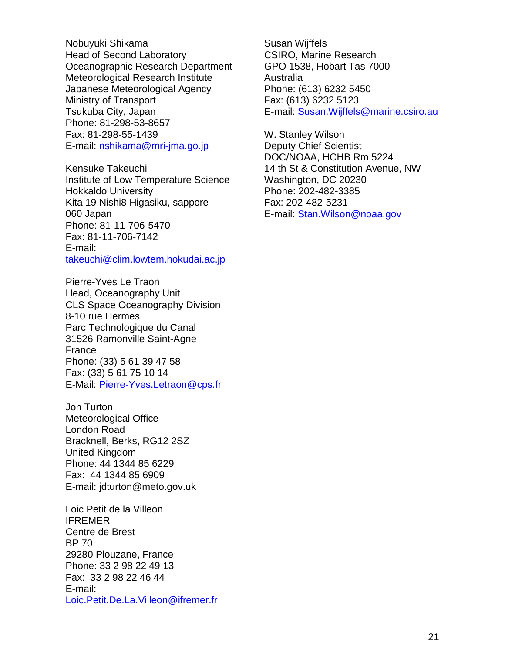Nobuyuki Shikama Head of Second Laboratory Oceanographic Research Department Meteorological Research Institute Japanese Meteorological Agency Ministry of Transport Tsukuba City, Japan Phone: 81-298-53-8657 Fax: 81-298-55-1439 E-mail: nshikama@mri-jma.go.jp

Kensuke Takeuchi Institute of Low Temperature Science Hokkaldo University Kita 19 Nishi8 Higasiku, sappore 060 Japan Phone: 81-11-706-5470 Fax: 81-11-706-7142 E-mail: takeuchi@clim.lowtem.hokudai.ac.jp

Pierre-Yves Le Traon Head, Oceanography Unit CLS Space Oceanography Division 8-10 rue Hermes Parc Technologique du Canal 31526 Ramonville Saint-Agne France Phone: (33) 5 61 39 47 58 Fax: (33) 5 61 75 10 14 E-Mail: Pierre-Yves.Letraon@cps.fr

Jon Turton Meteorological Office London Road Bracknell, Berks, RG12 2SZ United Kingdom Phone: 44 1344 85 6229 Fax: 44 1344 85 6909 E-mail: jdturton@meto.gov.uk

Loic Petit de la Villeon IFREMER Centre de Brest BP 70 29280 Plouzane, France Phone: 33 2 98 22 49 13 Fax: 33 2 98 22 46 44 E-mail: Loic.Petit.De.La.Villeon@ifremer.fr Susan Wijffels CSIRO, Marine Research GPO 1538, Hobart Tas 7000 Australia Phone: (613) 6232 5450 Fax: (613) 6232 5123 E-mail: Susan.Wijffels@marine.csiro.au

W. Stanley Wilson Deputy Chief Scientist DOC/NOAA, HCHB Rm 5224 14 th St & Constitution Avenue, NW Washington, DC 20230 Phone: 202-482-3385 Fax: 202-482-5231 E-mail: Stan.Wilson@noaa.gov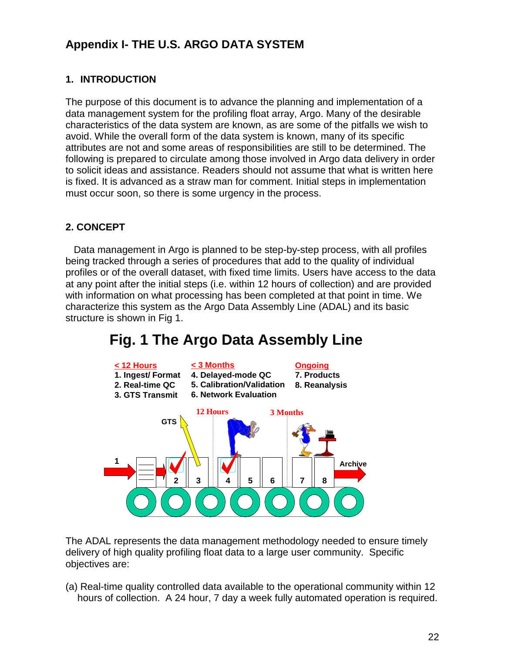# **Appendix I- THE U.S. ARGO DATA SYSTEM**

#### **1. INTRODUCTION**

The purpose of this document is to advance the planning and implementation of a data management system for the profiling float array, Argo. Many of the desirable characteristics of the data system are known, as are some of the pitfalls we wish to avoid. While the overall form of the data system is known, many of its specific attributes are not and some areas of responsibilities are still to be determined. The following is prepared to circulate among those involved in Argo data delivery in order to solicit ideas and assistance. Readers should not assume that what is written here is fixed. It is advanced as a straw man for comment. Initial steps in implementation must occur soon, so there is some urgency in the process.

#### **2. CONCEPT**

 Data management in Argo is planned to be step-by-step process, with all profiles being tracked through a series of procedures that add to the quality of individual profiles or of the overall dataset, with fixed time limits. Users have access to the data at any point after the initial steps (i.e. within 12 hours of collection) and are provided with information on what processing has been completed at that point in time. We characterize this system as the Argo Data Assembly Line (ADAL) and its basic structure is shown in Fig 1.



# **Fig. 1 The Argo Data Assembly Line**

The ADAL represents the data management methodology needed to ensure timely delivery of high quality profiling float data to a large user community. Specific objectives are:

(a) Real-time quality controlled data available to the operational community within 12 hours of collection. A 24 hour, 7 day a week fully automated operation is required.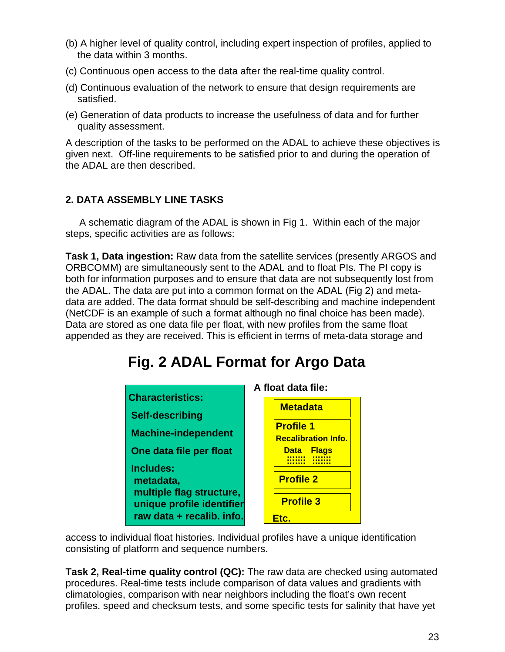- (b) A higher level of quality control, including expert inspection of profiles, applied to the data within 3 months.
- (c) Continuous open access to the data after the real-time quality control.
- (d) Continuous evaluation of the network to ensure that design requirements are satisfied.
- (e) Generation of data products to increase the usefulness of data and for further quality assessment.

A description of the tasks to be performed on the ADAL to achieve these objectives is given next. Off-line requirements to be satisfied prior to and during the operation of the ADAL are then described.

#### **2. DATA ASSEMBLY LINE TASKS**

 A schematic diagram of the ADAL is shown in Fig 1. Within each of the major steps, specific activities are as follows:

**Task 1, Data ingestion:** Raw data from the satellite services (presently ARGOS and ORBCOMM) are simultaneously sent to the ADAL and to float PIs. The PI copy is both for information purposes and to ensure that data are not subsequently lost from the ADAL. The data are put into a common format on the ADAL (Fig 2) and metadata are added. The data format should be self-describing and machine independent (NetCDF is an example of such a format although no final choice has been made). Data are stored as one data file per float, with new profiles from the same float appended as they are received. This is efficient in terms of meta-data storage and

# **Fig. 2 ADAL Format for Argo Data**



access to individual float histories. Individual profiles have a unique identification consisting of platform and sequence numbers.

**Task 2, Real-time quality control (QC):** The raw data are checked using automated procedures. Real-time tests include comparison of data values and gradients with climatologies, comparison with near neighbors including the float's own recent profiles, speed and checksum tests, and some specific tests for salinity that have yet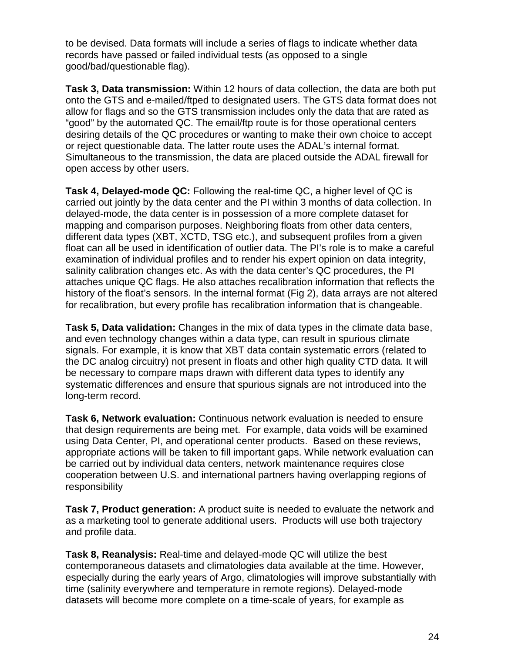to be devised. Data formats will include a series of flags to indicate whether data records have passed or failed individual tests (as opposed to a single good/bad/questionable flag).

**Task 3, Data transmission:** Within 12 hours of data collection, the data are both put onto the GTS and e-mailed/ftped to designated users. The GTS data format does not allow for flags and so the GTS transmission includes only the data that are rated as "good" by the automated QC. The email/ftp route is for those operational centers desiring details of the QC procedures or wanting to make their own choice to accept or reject questionable data. The latter route uses the ADAL's internal format. Simultaneous to the transmission, the data are placed outside the ADAL firewall for open access by other users.

**Task 4, Delayed-mode QC:** Following the real-time QC, a higher level of QC is carried out jointly by the data center and the PI within 3 months of data collection. In delayed-mode, the data center is in possession of a more complete dataset for mapping and comparison purposes. Neighboring floats from other data centers, different data types (XBT, XCTD, TSG etc.), and subsequent profiles from a given float can all be used in identification of outlier data. The PI's role is to make a careful examination of individual profiles and to render his expert opinion on data integrity, salinity calibration changes etc. As with the data center's QC procedures, the PI attaches unique QC flags. He also attaches recalibration information that reflects the history of the float's sensors. In the internal format (Fig 2), data arrays are not altered for recalibration, but every profile has recalibration information that is changeable.

**Task 5, Data validation:** Changes in the mix of data types in the climate data base, and even technology changes within a data type, can result in spurious climate signals. For example, it is know that XBT data contain systematic errors (related to the DC analog circuitry) not present in floats and other high quality CTD data. It will be necessary to compare maps drawn with different data types to identify any systematic differences and ensure that spurious signals are not introduced into the long-term record.

**Task 6, Network evaluation:** Continuous network evaluation is needed to ensure that design requirements are being met. For example, data voids will be examined using Data Center, PI, and operational center products. Based on these reviews, appropriate actions will be taken to fill important gaps. While network evaluation can be carried out by individual data centers, network maintenance requires close cooperation between U.S. and international partners having overlapping regions of responsibility

**Task 7, Product generation:** A product suite is needed to evaluate the network and as a marketing tool to generate additional users. Products will use both trajectory and profile data.

**Task 8, Reanalysis:** Real-time and delayed-mode QC will utilize the best contemporaneous datasets and climatologies data available at the time. However, especially during the early years of Argo, climatologies will improve substantially with time (salinity everywhere and temperature in remote regions). Delayed-mode datasets will become more complete on a time-scale of years, for example as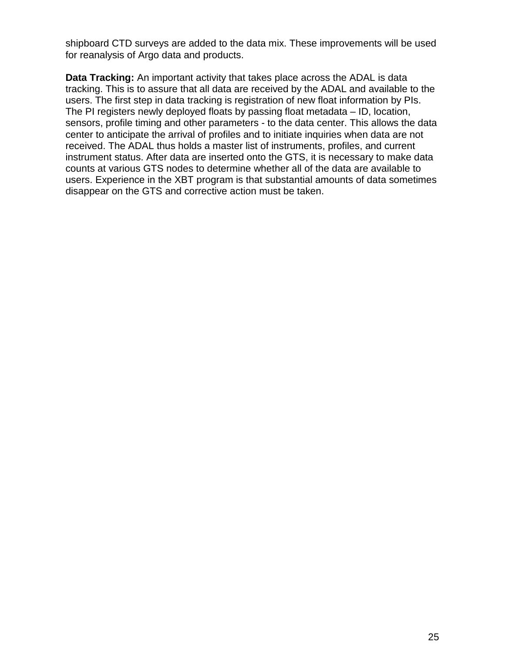shipboard CTD surveys are added to the data mix. These improvements will be used for reanalysis of Argo data and products.

**Data Tracking:** An important activity that takes place across the ADAL is data tracking. This is to assure that all data are received by the ADAL and available to the users. The first step in data tracking is registration of new float information by PIs. The PI registers newly deployed floats by passing float metadata – ID, location, sensors, profile timing and other parameters - to the data center. This allows the data center to anticipate the arrival of profiles and to initiate inquiries when data are not received. The ADAL thus holds a master list of instruments, profiles, and current instrument status. After data are inserted onto the GTS, it is necessary to make data counts at various GTS nodes to determine whether all of the data are available to users. Experience in the XBT program is that substantial amounts of data sometimes disappear on the GTS and corrective action must be taken.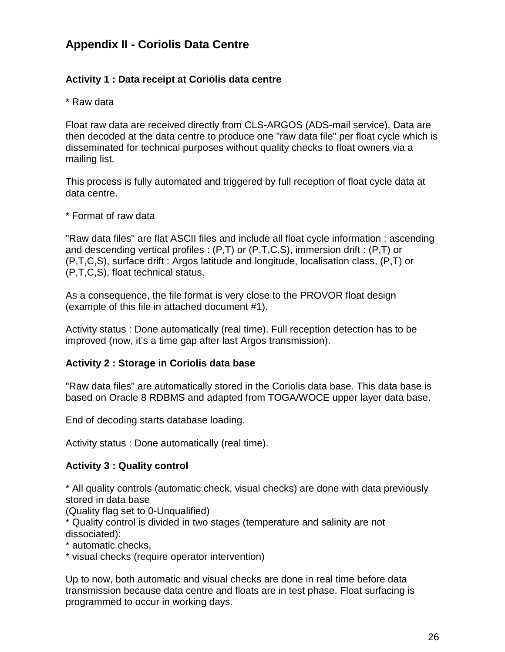# **Appendix II - Coriolis Data Centre**

#### **Activity 1 : Data receipt at Coriolis data centre**

\* Raw data

Float raw data are received directly from CLS-ARGOS (ADS-mail service). Data are then decoded at the data centre to produce one "raw data file" per float cycle which is disseminated for technical purposes without quality checks to float owners via a mailing list.

This process is fully automated and triggered by full reception of float cycle data at data centre.

\* Format of raw data

"Raw data files" are flat ASCII files and include all float cycle information : ascending and descending vertical profiles : (P,T) or (P,T,C,S), immersion drift : (P,T) or (P,T,C,S), surface drift : Argos latitude and longitude, localisation class, (P,T) or (P,T,C,S), float technical status.

As a consequence, the file format is very close to the PROVOR float design (example of this file in attached document #1).

Activity status : Done automatically (real time). Full reception detection has to be improved (now, it's a time gap after last Argos transmission).

#### **Activity 2 : Storage in Coriolis data base**

"Raw data files" are automatically stored in the Coriolis data base. This data base is based on Oracle 8 RDBMS and adapted from TOGA/WOCE upper layer data base.

End of decoding starts database loading.

Activity status : Done automatically (real time).

#### **Activity 3 : Quality control**

\* All quality controls (automatic check, visual checks) are done with data previously stored in data base

(Quality flag set to 0-Unqualified)

\* Quality control is divided in two stages (temperature and salinity are not dissociated):

\* automatic checks,

\* visual checks (require operator intervention)

Up to now, both automatic and visual checks are done in real time before data transmission because data centre and floats are in test phase. Float surfacing is programmed to occur in working days.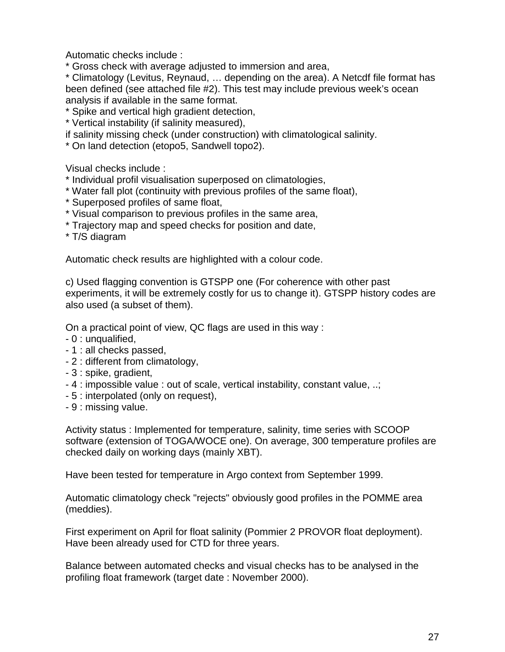Automatic checks include :

\* Gross check with average adjusted to immersion and area,

\* Climatology (Levitus, Reynaud, … depending on the area). A Netcdf file format has been defined (see attached file #2). This test may include previous week's ocean analysis if available in the same format.

\* Spike and vertical high gradient detection,

\* Vertical instability (if salinity measured),

if salinity missing check (under construction) with climatological salinity.

\* On land detection (etopo5, Sandwell topo2).

Visual checks include :

- \* Individual profil visualisation superposed on climatologies,
- \* Water fall plot (continuity with previous profiles of the same float),
- \* Superposed profiles of same float,
- \* Visual comparison to previous profiles in the same area,
- \* Trajectory map and speed checks for position and date,

\* T/S diagram

Automatic check results are highlighted with a colour code.

c) Used flagging convention is GTSPP one (For coherence with other past experiments, it will be extremely costly for us to change it). GTSPP history codes are also used (a subset of them).

On a practical point of view, QC flags are used in this way :

- 0 : unqualified,
- 1 : all checks passed,
- 2 : different from climatology,
- 3 : spike, gradient,
- 4 : impossible value : out of scale, vertical instability, constant value, ..;
- 5 : interpolated (only on request),
- 9 : missing value.

Activity status : Implemented for temperature, salinity, time series with SCOOP software (extension of TOGA/WOCE one). On average, 300 temperature profiles are checked daily on working days (mainly XBT).

Have been tested for temperature in Argo context from September 1999.

Automatic climatology check "rejects" obviously good profiles in the POMME area (meddies).

First experiment on April for float salinity (Pommier 2 PROVOR float deployment). Have been already used for CTD for three years.

Balance between automated checks and visual checks has to be analysed in the profiling float framework (target date : November 2000).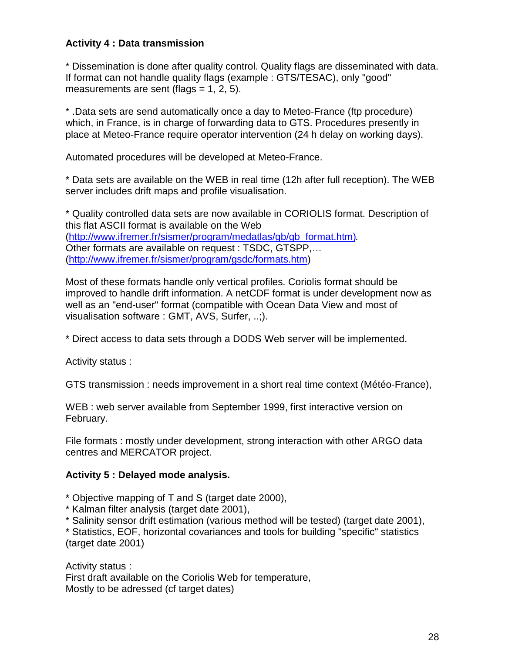#### **Activity 4 : Data transmission**

\* Dissemination is done after quality control. Quality flags are disseminated with data. If format can not handle quality flags (example : GTS/TESAC), only "good" measurements are sent (flags  $= 1, 2, 5$ ).

\* .Data sets are send automatically once a day to Meteo-France (ftp procedure) which, in France, is in charge of forwarding data to GTS. Procedures presently in place at Meteo-France require operator intervention (24 h delay on working days).

Automated procedures will be developed at Meteo-France.

\* Data sets are available on the WEB in real time (12h after full reception). The WEB server includes drift maps and profile visualisation.

\* Quality controlled data sets are now available in CORIOLIS format. Description of this flat ASCII format is available on the Web (http://www.ifremer.fr/sismer/program/medatlas/gb/gb\_format.htm). Other formats are available on request : TSDC, GTSPP,… (http://www.ifremer.fr/sismer/program/gsdc/formats.htm)

Most of these formats handle only vertical profiles. Coriolis format should be improved to handle drift information. A netCDF format is under development now as well as an "end-user" format (compatible with Ocean Data View and most of visualisation software : GMT, AVS, Surfer, ..;).

\* Direct access to data sets through a DODS Web server will be implemented.

Activity status :

GTS transmission : needs improvement in a short real time context (Météo-France),

WEB : web server available from September 1999, first interactive version on February.

File formats : mostly under development, strong interaction with other ARGO data centres and MERCATOR project.

#### **Activity 5 : Delayed mode analysis.**

\* Objective mapping of T and S (target date 2000),

\* Kalman filter analysis (target date 2001),

\* Salinity sensor drift estimation (various method will be tested) (target date 2001),

\* Statistics, EOF, horizontal covariances and tools for building "specific" statistics (target date 2001)

Activity status : First draft available on the Coriolis Web for temperature, Mostly to be adressed (cf target dates)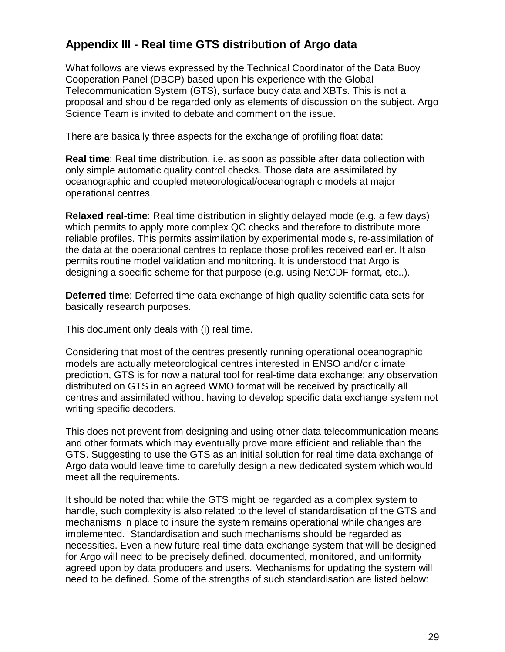# **Appendix III - Real time GTS distribution of Argo data**

What follows are views expressed by the Technical Coordinator of the Data Buoy Cooperation Panel (DBCP) based upon his experience with the Global Telecommunication System (GTS), surface buoy data and XBTs. This is not a proposal and should be regarded only as elements of discussion on the subject. Argo Science Team is invited to debate and comment on the issue.

There are basically three aspects for the exchange of profiling float data:

**Real time**: Real time distribution, i.e. as soon as possible after data collection with only simple automatic quality control checks. Those data are assimilated by oceanographic and coupled meteorological/oceanographic models at major operational centres.

**Relaxed real-time**: Real time distribution in slightly delayed mode (e.g. a few days) which permits to apply more complex QC checks and therefore to distribute more reliable profiles. This permits assimilation by experimental models, re-assimilation of the data at the operational centres to replace those profiles received earlier. It also permits routine model validation and monitoring. It is understood that Argo is designing a specific scheme for that purpose (e.g. using NetCDF format, etc..).

**Deferred time**: Deferred time data exchange of high quality scientific data sets for basically research purposes.

This document only deals with (i) real time.

Considering that most of the centres presently running operational oceanographic models are actually meteorological centres interested in ENSO and/or climate prediction, GTS is for now a natural tool for real-time data exchange: any observation distributed on GTS in an agreed WMO format will be received by practically all centres and assimilated without having to develop specific data exchange system not writing specific decoders.

This does not prevent from designing and using other data telecommunication means and other formats which may eventually prove more efficient and reliable than the GTS. Suggesting to use the GTS as an initial solution for real time data exchange of Argo data would leave time to carefully design a new dedicated system which would meet all the requirements.

It should be noted that while the GTS might be regarded as a complex system to handle, such complexity is also related to the level of standardisation of the GTS and mechanisms in place to insure the system remains operational while changes are implemented. Standardisation and such mechanisms should be regarded as necessities. Even a new future real-time data exchange system that will be designed for Argo will need to be precisely defined, documented, monitored, and uniformity agreed upon by data producers and users. Mechanisms for updating the system will need to be defined. Some of the strengths of such standardisation are listed below: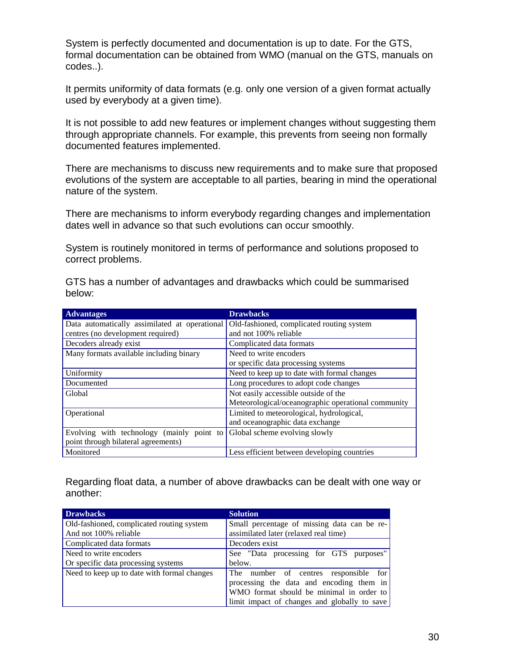System is perfectly documented and documentation is up to date. For the GTS, formal documentation can be obtained from WMO (manual on the GTS, manuals on codes..).

It permits uniformity of data formats (e.g. only one version of a given format actually used by everybody at a given time).

It is not possible to add new features or implement changes without suggesting them through appropriate channels. For example, this prevents from seeing non formally documented features implemented.

There are mechanisms to discuss new requirements and to make sure that proposed evolutions of the system are acceptable to all parties, bearing in mind the operational nature of the system.

There are mechanisms to inform everybody regarding changes and implementation dates well in advance so that such evolutions can occur smoothly.

System is routinely monitored in terms of performance and solutions proposed to correct problems.

GTS has a number of advantages and drawbacks which could be summarised below:

| <b>Advantages</b>                             | <b>Drawbacks</b>                                   |
|-----------------------------------------------|----------------------------------------------------|
| Data automatically assimilated at operational | Old-fashioned, complicated routing system          |
| centres (no development required)             | and not 100% reliable                              |
| Decoders already exist                        | Complicated data formats                           |
| Many formats available including binary       | Need to write encoders                             |
|                                               | or specific data processing systems                |
| Uniformity                                    | Need to keep up to date with formal changes        |
| Documented                                    | Long procedures to adopt code changes              |
| Global                                        | Not easily accessible outside of the               |
|                                               | Meteorological/oceanographic operational community |
| Operational                                   | Limited to meteorological, hydrological,           |
|                                               | and oceanographic data exchange                    |
| Evolving with technology (mainly point to     | Global scheme evolving slowly                      |
| point through bilateral agreements)           |                                                    |
| Monitored                                     | Less efficient between developing countries        |

Regarding float data, a number of above drawbacks can be dealt with one way or another:

| <b>Drawbacks</b>                            | <b>Solution</b>                              |
|---------------------------------------------|----------------------------------------------|
| Old-fashioned, complicated routing system   | Small percentage of missing data can be re-  |
| And not 100% reliable                       | assimilated later (relaxed real time)        |
| Complicated data formats                    | Decoders exist                               |
| Need to write encoders                      | See "Data processing for GTS purposes"       |
| Or specific data processing systems         | below.                                       |
| Need to keep up to date with formal changes | The number of centres responsible for        |
|                                             | processing the data and encoding them in     |
|                                             | WMO format should be minimal in order to     |
|                                             | limit impact of changes and globally to save |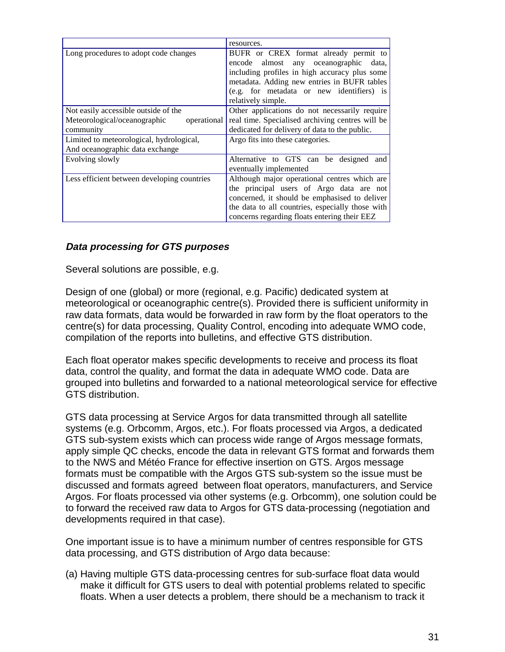|                                             | resources.                                       |
|---------------------------------------------|--------------------------------------------------|
| Long procedures to adopt code changes       | BUFR or CREX format already permit to            |
|                                             | encode almost any oceanographic<br>data.         |
|                                             | including profiles in high accuracy plus some    |
|                                             | metadata. Adding new entries in BUFR tables      |
|                                             | (e.g. for metadata or new identifiers) is        |
|                                             | relatively simple.                               |
| Not easily accessible outside of the        | Other applications do not necessarily require    |
| Meteorological/oceanographic<br>operational | real time. Specialised archiving centres will be |
| community                                   | dedicated for delivery of data to the public.    |
| Limited to meteorological, hydrological,    | Argo fits into these categories.                 |
| And oceanographic data exchange             |                                                  |
| Evolving slowly                             | Alternative to GTS can be designed and           |
|                                             | eventually implemented                           |
| Less efficient between developing countries | Although major operational centres which are     |
|                                             | the principal users of Argo data are not         |
|                                             | concerned, it should be emphasised to deliver    |
|                                             | the data to all countries, especially those with |
|                                             | concerns regarding floats entering their EEZ     |

#### **Data processing for GTS purposes**

Several solutions are possible, e.g.

Design of one (global) or more (regional, e.g. Pacific) dedicated system at meteorological or oceanographic centre(s). Provided there is sufficient uniformity in raw data formats, data would be forwarded in raw form by the float operators to the centre(s) for data processing, Quality Control, encoding into adequate WMO code, compilation of the reports into bulletins, and effective GTS distribution.

Each float operator makes specific developments to receive and process its float data, control the quality, and format the data in adequate WMO code. Data are grouped into bulletins and forwarded to a national meteorological service for effective GTS distribution.

GTS data processing at Service Argos for data transmitted through all satellite systems (e.g. Orbcomm, Argos, etc.). For floats processed via Argos, a dedicated GTS sub-system exists which can process wide range of Argos message formats, apply simple QC checks, encode the data in relevant GTS format and forwards them to the NWS and Météo France for effective insertion on GTS. Argos message formats must be compatible with the Argos GTS sub-system so the issue must be discussed and formats agreed between float operators, manufacturers, and Service Argos. For floats processed via other systems (e.g. Orbcomm), one solution could be to forward the received raw data to Argos for GTS data-processing (negotiation and developments required in that case).

One important issue is to have a minimum number of centres responsible for GTS data processing, and GTS distribution of Argo data because:

(a) Having multiple GTS data-processing centres for sub-surface float data would make it difficult for GTS users to deal with potential problems related to specific floats. When a user detects a problem, there should be a mechanism to track it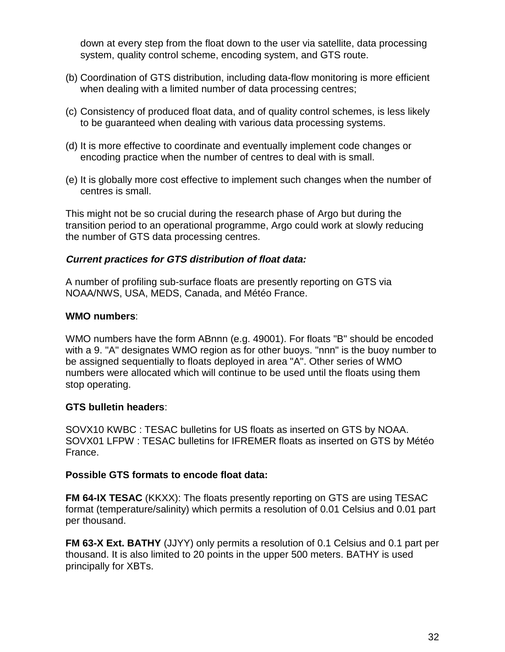down at every step from the float down to the user via satellite, data processing system, quality control scheme, encoding system, and GTS route.

- (b) Coordination of GTS distribution, including data-flow monitoring is more efficient when dealing with a limited number of data processing centres;
- (c) Consistency of produced float data, and of quality control schemes, is less likely to be guaranteed when dealing with various data processing systems.
- (d) It is more effective to coordinate and eventually implement code changes or encoding practice when the number of centres to deal with is small.
- (e) It is globally more cost effective to implement such changes when the number of centres is small.

This might not be so crucial during the research phase of Argo but during the transition period to an operational programme, Argo could work at slowly reducing the number of GTS data processing centres.

#### **Current practices for GTS distribution of float data:**

A number of profiling sub-surface floats are presently reporting on GTS via NOAA/NWS, USA, MEDS, Canada, and Météo France.

#### **WMO numbers**:

WMO numbers have the form ABnnn (e.g. 49001). For floats "B" should be encoded with a 9. "A" designates WMO region as for other buoys. "nnn" is the buoy number to be assigned sequentially to floats deployed in area "A". Other series of WMO numbers were allocated which will continue to be used until the floats using them stop operating.

#### **GTS bulletin headers**:

SOVX10 KWBC : TESAC bulletins for US floats as inserted on GTS by NOAA. SOVX01 LFPW : TESAC bulletins for IFREMER floats as inserted on GTS by Météo France.

#### **Possible GTS formats to encode float data:**

**FM 64-IX TESAC** (KKXX): The floats presently reporting on GTS are using TESAC format (temperature/salinity) which permits a resolution of 0.01 Celsius and 0.01 part per thousand.

**FM 63-X Ext. BATHY** (JJYY) only permits a resolution of 0.1 Celsius and 0.1 part per thousand. It is also limited to 20 points in the upper 500 meters. BATHY is used principally for XBTs.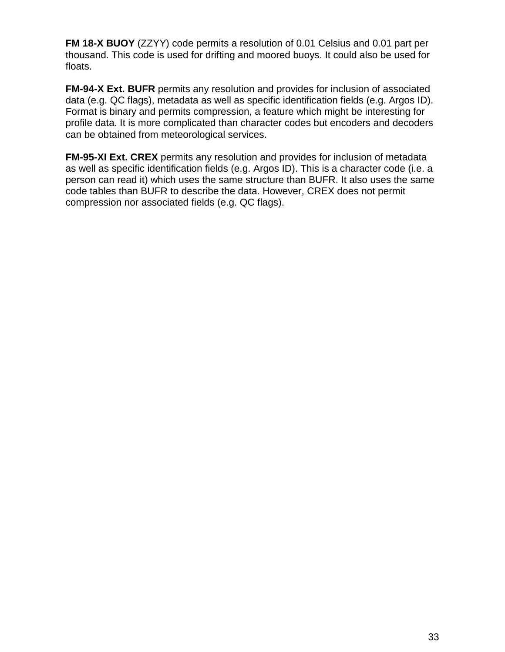**FM 18-X BUOY** (ZZYY) code permits a resolution of 0.01 Celsius and 0.01 part per thousand. This code is used for drifting and moored buoys. It could also be used for floats.

**FM-94-X Ext. BUFR** permits any resolution and provides for inclusion of associated data (e.g. QC flags), metadata as well as specific identification fields (e.g. Argos ID). Format is binary and permits compression, a feature which might be interesting for profile data. It is more complicated than character codes but encoders and decoders can be obtained from meteorological services.

**FM-95-XI Ext. CREX** permits any resolution and provides for inclusion of metadata as well as specific identification fields (e.g. Argos ID). This is a character code (i.e. a person can read it) which uses the same structure than BUFR. It also uses the same code tables than BUFR to describe the data. However, CREX does not permit compression nor associated fields (e.g. QC flags).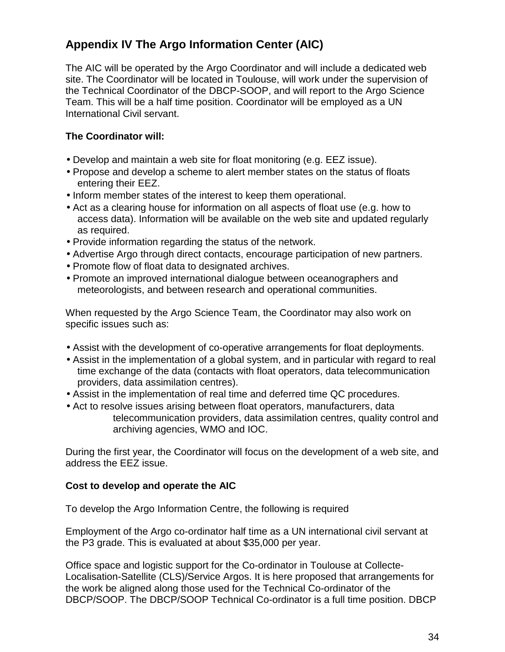# **Appendix IV The Argo Information Center (AIC)**

The AIC will be operated by the Argo Coordinator and will include a dedicated web site. The Coordinator will be located in Toulouse, will work under the supervision of the Technical Coordinator of the DBCP-SOOP, and will report to the Argo Science Team. This will be a half time position. Coordinator will be employed as a UN International Civil servant.

#### **The Coordinator will:**

- Develop and maintain a web site for float monitoring (e.g. EEZ issue).
- Propose and develop a scheme to alert member states on the status of floats entering their EEZ.
- Inform member states of the interest to keep them operational.
- Act as a clearing house for information on all aspects of float use (e.g. how to access data). Information will be available on the web site and updated regularly as required.
- Provide information regarding the status of the network.
- Advertise Argo through direct contacts, encourage participation of new partners.
- Promote flow of float data to designated archives.
- Promote an improved international dialogue between oceanographers and meteorologists, and between research and operational communities.

When requested by the Argo Science Team, the Coordinator may also work on specific issues such as:

- Assist with the development of co-operative arrangements for float deployments.
- Assist in the implementation of a global system, and in particular with regard to real time exchange of the data (contacts with float operators, data telecommunication providers, data assimilation centres).
- Assist in the implementation of real time and deferred time QC procedures.
- Act to resolve issues arising between float operators, manufacturers, data telecommunication providers, data assimilation centres, quality control and archiving agencies, WMO and IOC.

During the first year, the Coordinator will focus on the development of a web site, and address the EEZ issue.

#### **Cost to develop and operate the AIC**

To develop the Argo Information Centre, the following is required

Employment of the Argo co-ordinator half time as a UN international civil servant at the P3 grade. This is evaluated at about \$35,000 per year.

Office space and logistic support for the Co-ordinator in Toulouse at Collecte-Localisation-Satellite (CLS)/Service Argos. It is here proposed that arrangements for the work be aligned along those used for the Technical Co-ordinator of the DBCP/SOOP. The DBCP/SOOP Technical Co-ordinator is a full time position. DBCP